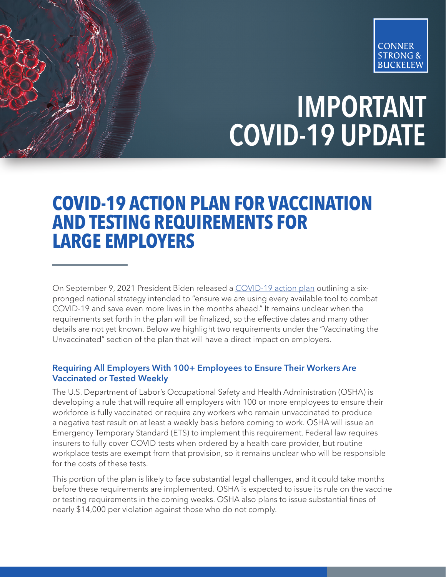

## IMPORTANT COVID-19 UPDATE

## **COVID-19 ACTION PLAN FOR VACCINATION AND TESTING REQUIREMENTS FOR LARGE EMPLOYERS**

On September 9, 2021 President Biden released a [COVID-19 action plan](https://www.whitehouse.gov/covidplan/?utm_medium=email&_hsmi=158086111&_hsenc=p2ANqtz-_Wod-6-ccI2PeLyaVDQg0iZ-9-lZrhEas-AkaOW9jQw95RTSrHWq-T9_SytH50DJJJhbdzhlMVGojCC0ce-HvGnzpuFxkQo7Ho-kaK4RmIl2zj1s8&utm_content=158086111&utm_source=hs_email) outlining a sixpronged national strategy intended to "ensure we are using every available tool to combat COVID-19 and save even more lives in the months ahead." It remains unclear when the requirements set forth in the plan will be finalized, so the effective dates and many other details are not yet known. Below we highlight two requirements under the "Vaccinating the Unvaccinated" section of the plan that will have a direct impact on employers.

## Requiring All Employers With 100+ Employees to Ensure Their Workers Are Vaccinated or Tested Weekly

The U.S. Department of Labor's Occupational Safety and Health Administration (OSHA) is developing a rule that will require all employers with 100 or more employees to ensure their workforce is fully vaccinated or require any workers who remain unvaccinated to produce a negative test result on at least a weekly basis before coming to work. OSHA will issue an Emergency Temporary Standard (ETS) to implement this requirement. Federal law requires insurers to fully cover COVID tests when ordered by a health care provider, but routine workplace tests are exempt from that provision, so it remains unclear who will be responsible for the costs of these tests.

This portion of the plan is likely to face substantial legal challenges, and it could take months before these requirements are implemented. OSHA is expected to issue its rule on the vaccine or testing requirements in the coming weeks. OSHA also plans to issue substantial fines of nearly \$14,000 per violation against those who do not comply.